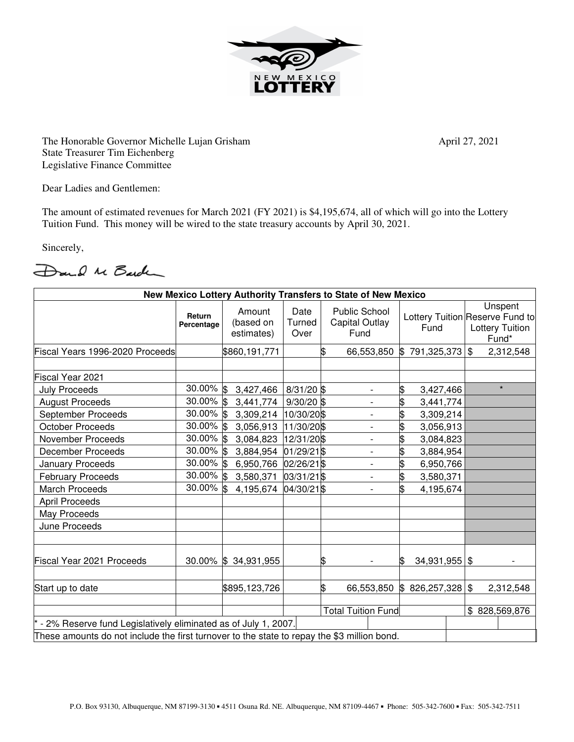

The Honorable Governor Michelle Lujan Grisham April 27, 2021 State Treasurer Tim Eichenberg Legislative Finance Committee

Dear Ladies and Gentlemen:

The amount of estimated revenues for March 2021 (FY 2021) is \$4,195,674, all of which will go into the Lottery Tuition Fund. This money will be wired to the state treasury accounts by April 30, 2021.

Sincerely,

Dand Me Barch

| New Mexico Lottery Authority Transfers to State of New Mexico                               |                      |                                   |                        |    |                                                       |                    |  |                                                                               |
|---------------------------------------------------------------------------------------------|----------------------|-----------------------------------|------------------------|----|-------------------------------------------------------|--------------------|--|-------------------------------------------------------------------------------|
|                                                                                             | Return<br>Percentage | Amount<br>(based on<br>estimates) | Date<br>Turned<br>Over |    | <b>Public School</b><br><b>Capital Outlay</b><br>Fund | Fund               |  | Unspent<br>Lottery Tuition Reserve Fund to<br><b>Lottery Tuition</b><br>Fund* |
| Fiscal Years 1996-2020 Proceeds                                                             |                      | \$860,191,771                     |                        |    | 66,553,850                                            | 791,325,373<br>IS- |  | $\mathfrak{S}$<br>2,312,548                                                   |
|                                                                                             |                      |                                   |                        |    |                                                       |                    |  |                                                                               |
| Fiscal Year 2021                                                                            |                      |                                   |                        |    |                                                       |                    |  | $\star$                                                                       |
| <b>July Proceeds</b>                                                                        | 30.00% \$            | 3,427,466                         | $8/31/20$ \$           |    | -                                                     | \$<br>3,427,466    |  |                                                                               |
| <b>August Proceeds</b>                                                                      | 30.00% \$            | 3,441,774                         | $9/30/20$ \$           |    | $\overline{\phantom{a}}$                              | \$<br>3,441,774    |  |                                                                               |
| September Proceeds                                                                          | 30.00% \$            | 3,309,214                         | 10/30/20 \$            |    | $\overline{\phantom{0}}$                              | \$<br>3,309,214    |  |                                                                               |
| <b>October Proceeds</b>                                                                     | 30.00% \$            | 3,056,913                         | 11/30/20\$             |    | $\overline{\phantom{0}}$                              | \$<br>3,056,913    |  |                                                                               |
| <b>November Proceeds</b>                                                                    | $30.00\%$ \$         | 3,084,823                         | 12/31/20\$             |    | $\overline{\phantom{a}}$                              | \$<br>3,084,823    |  |                                                                               |
| <b>December Proceeds</b>                                                                    | 30.00% \$            | 3,884,954                         | 01/29/21\$             |    | -                                                     | \$<br>3,884,954    |  |                                                                               |
| January Proceeds                                                                            | $30.00\%$ \$         | 6,950,766                         | 02/26/21 \$            |    | $\overline{\phantom{a}}$                              | \$<br>6,950,766    |  |                                                                               |
| <b>February Proceeds</b>                                                                    | $30.00\%$ \$         | 3,580,371                         | 03/31/21\$             |    | -                                                     | \$<br>3,580,371    |  |                                                                               |
| <b>March Proceeds</b>                                                                       | 30.00% \$            | 4,195,674                         | 04/30/21\$             |    |                                                       | \$<br>4,195,674    |  |                                                                               |
| <b>April Proceeds</b>                                                                       |                      |                                   |                        |    |                                                       |                    |  |                                                                               |
| May Proceeds                                                                                |                      |                                   |                        |    |                                                       |                    |  |                                                                               |
| June Proceeds                                                                               |                      |                                   |                        |    |                                                       |                    |  |                                                                               |
| Fiscal Year 2021 Proceeds                                                                   |                      | 30.00% \$34,931,955               |                        | S  |                                                       | 34,931,955<br>ß.   |  | \$                                                                            |
| Start up to date                                                                            |                      | \$895,123,726                     |                        | \$ | 66,553,850                                            | \$826,257,328      |  | \$<br>2,312,548                                                               |
|                                                                                             |                      | <b>Total Tuition Fund</b>         |                        |    |                                                       |                    |  | \$828,569,876                                                                 |
|                                                                                             |                      |                                   |                        |    |                                                       |                    |  |                                                                               |
| - 2% Reserve fund Legislatively eliminated as of July 1, 2007.                              |                      |                                   |                        |    |                                                       |                    |  |                                                                               |
| These amounts do not include the first turnover to the state to repay the \$3 million bond. |                      |                                   |                        |    |                                                       |                    |  |                                                                               |